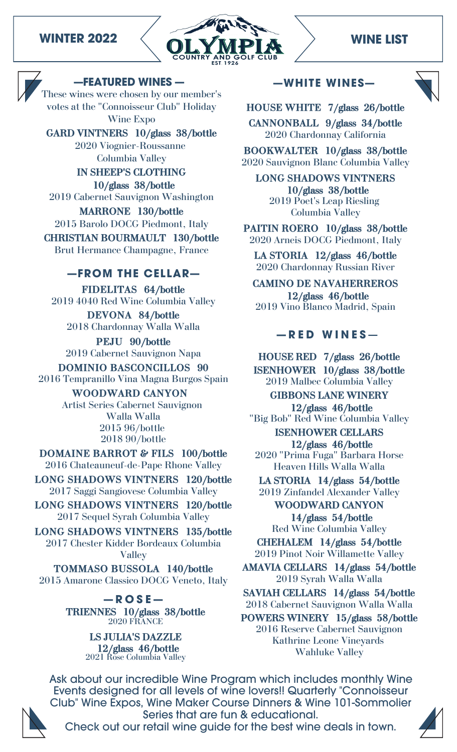



### **—FEATURED WINES —**

These wines were chosen by our member's votes at the "Connoisseur Club" Holiday Wine Expo

**GARD VINTNERS 10/glass 38/bottle** 2020 Viognier-Roussanne Columbia Valley

**IN SHEEP'S CLOTHING 10/glass 38/bottle** 2019 Cabernet Sauvignon Washington

**MARRONE 130/bottle** 2015 Barolo DOCG Piedmont, Italy **CHRISTIAN BOURMAULT 130/bottle** Brut Hermance Champagne, France

# **—FROM THE CELLAR—**

**FIDELITAS 64/bottle** 2019 4040 Red Wine Columbia Valley **DEVONA 84/bottle**

2018 Chardonnay Walla Walla

**PEJU 90/bottle** 2019 Cabernet Sauvignon Napa

**DOMINIO BASCONCILLOS 90** 2016 Tempranillo Vina Magna Burgos Spain **WOODWARD CANYON** Artist Series Cabernet Sauvignon Walla Walla 2015 96/bottle 2018 90/bottle

**DOMAINE BARROT & FILS 100/bottle** 2016 Chateauneuf-de-Pape Rhone Valley

**LONG SHADOWS VINTNERS 120/bottle** 2017 Saggi Sangiovese Columbia Valley

**LONG SHADOWS VINTNERS 120/bottle** 2017 Sequel Syrah Columbia Valley

**LONG SHADOWS VINTNERS 135/bottle** 2017 Chester Kidder Bordeaux Columbia Valley

**TOMMASO BUSSOLA 140/bottle** 2015 Amarone Classico DOCG Veneto, Italy

> **— R O S E — TRIENNES 10/glass 38/bottle** 2020 FRANCE

> > **LS JULIA'S DAZZLE 12/glass 46/bottle** 2021 Rose Columbia Valley

### **—WHITE WINES—**



**HOUSE WHITE 7/glass 26/bottle**

**CANNONBALL 9/glass 34/bottle** 2020 Chardonnay California

**BOOKWALTER 10/glass 38/bottle** 2020 Sauvignon Blanc Columbia Valley

**LONG SHADOWS VINTNERS 10/glass 38/bottle** 2019 Poet's Leap Riesling Columbia Valley

**PAITIN ROERO 10/glass 38/bottle** 2020 Arneis DOCG Piedmont, Italy

**LA STORIA 12/glass 46/bottle** 2020 Chardonnay Russian River

**CAMINO DE NAVAHERREROS 12/glass 46/bottle** 2019 Vino Blanco Madrid, Spain

# **— R E D W I N E S** —

**HOUSE RED 7/glass 26/bottle ISENHOWER 10/glass 38/bottle** 2019 Malbec Columbia Valley

**GIBBONS LANE WINERY 12/glass 46/bottle**

"Big Bob" Red Wine Columbia Valley **ISENHOWER CELLARS**

**12/glass 46/bottle** 2020 "Prima Fuga" Barbara Horse Heaven Hills Walla Walla

**LA STORIA 14/glass 54/bottle** 2019 Zinfandel Alexander Valley

**WOODWARD CANYON 14/glass 54/bottle** Red Wine Columbia Valley

**CHEHALEM 14/glass 54/bottle** 2019 Pinot Noir Willamette Valley

**AMAVIA CELLARS 14/glass 54/bottle** 2019 Syrah Walla Walla

**SAVIAH CELLARS 14/glass 54/bottle** 2018 Cabernet Sauvignon Walla Walla

**POWERS WINERY 15/glass 58/bottle** 2016 Reserve Cabernet Sauvignon Kathrine Leone Vineyards Wahluke Valley

Ask about our incredible Wine Program which includes monthly Wine Events designed for all levels of wine lovers!! Quarterly "Connoisseur Club" Wine Expos, Wine Maker Course Dinners & Wine 101-Sommolier Series that are fun & educational.



Check out our retail wine guide for the best wine deals in town.